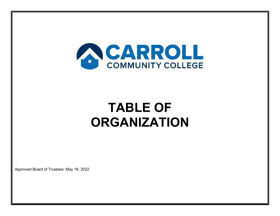

# **TABLE OF ORGANIZATION**

Approved Board of Trustees: May 18, 2022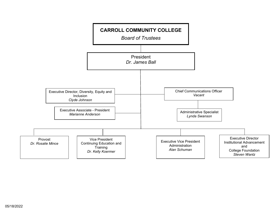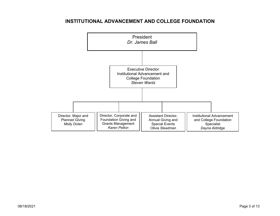#### **INSTITUTIONAL ADVANCEMENT AND COLLEGE FOUNDATION**

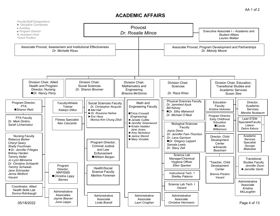#### **ACADEMIC AFFAIRS**

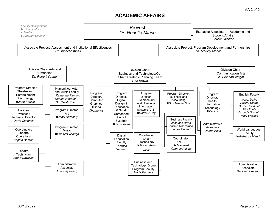#### **ACADEMIC AFFAIRS**

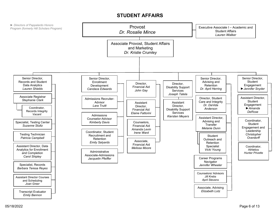## **STUDENT AFFAIRS**

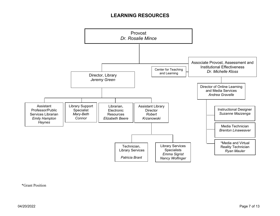# **LEARNING RESOURCES**



\*Grant Position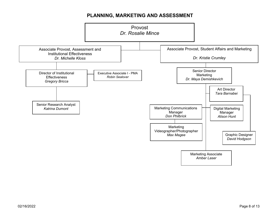# **PLANNING, MARKETING AND ASSESSMENT**

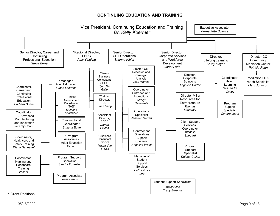#### **CONTINUING EDUCATION AND TRAINING**



\* Grant Positions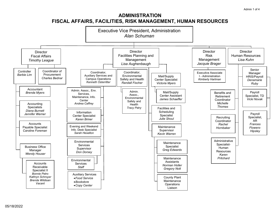#### **ADMINISTRATION FISCAL AFFAIRS, FACILITIES, RISK MANAGEMENT, HUMAN RESOURCES**

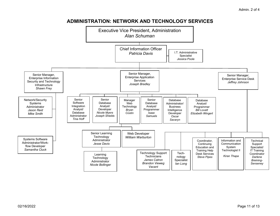# **ADMINISTRATION: NETWORK AND TECHNOLOGY SERVICES**

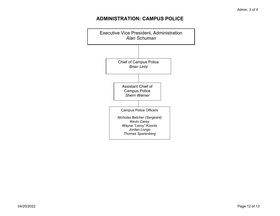# **ADMINISTRATION: CAMPUS POLICE**